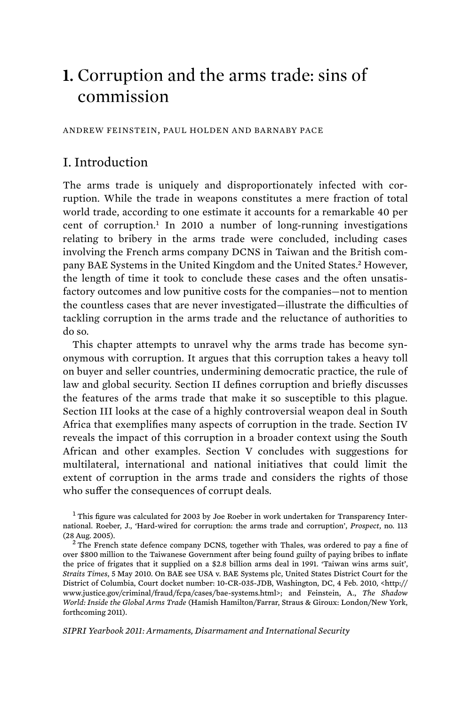# **1.** Corruption and the arms trade: sins of commission

ANDREW FEINSTEIN, PAUL HOLDEN AND BARNABY PACE

# I. Introduction

The arms trade is uniquely and disproportionately infected with corruption. While the trade in weapons constitutes a mere fraction of total world trade, according to one estimate it accounts for a remarkable 40 per cent of corruption.<sup>1</sup> In 2010 a number of long-running investigations relating to bribery in the arms trade were concluded, including cases involving the French arms company DCNS in Taiwan and the British company BAE Systems in the United Kingdom and the United States.<sup>2</sup> However, the length of time it took to conclude these cases and the often unsatisfactory outcomes and low punitive costs for the companies—not to mention the countless cases that are never investigated—illustrate the difficulties of tackling corruption in the arms trade and the reluctance of authorities to do so.

This chapter attempts to unravel why the arms trade has become synonymous with corruption. It argues that this corruption takes a heavy toll on buyer and seller countries, undermining democratic practice, the rule of law and global security. Section II defines corruption and briefly discusses the features of the arms trade that make it so susceptible to this plague. Section III looks at the case of a highly controversial weapon deal in South Africa that exemplifies many aspects of corruption in the trade. Section IV reveals the impact of this corruption in a broader context using the South African and other examples. Section V concludes with suggestions for multilateral, international and national initiatives that could limit the extent of corruption in the arms trade and considers the rights of those who suffer the consequences of corrupt deals.

*SIPRI Yearbook 2011: Armaments, Disarmament and International Security* 

 $<sup>1</sup>$  This figure was calculated for 2003 by Joe Roeber in work undertaken for Transparency Inter-</sup> national. Roeber, J., 'Hard-wired for corruption: the arms trade and corruption', *Prospect*, no. 113 (28 Aug. 2005).<br><sup>2</sup> The French state defence company DCNS, together with Thales, was ordered to pay a fine of

over \$800 million to the Taiwanese Government after being found guilty of paying bribes to inflate the price of frigates that it supplied on a \$2.8 billion arms deal in 1991. 'Taiwan wins arms suit', *Straits Times*, 5 May 2010. On BAE see USA v. BAE Systems plc, United States District Court for the District of Columbia, Court docket number: 10-CR-035-JDB, Washington, DC, 4 Feb. 2010, <http:// www.justice.gov/criminal/fraud/fcpa/cases/bae-systems.html>; and Feinstein, A., *The Shadow World: Inside the Global Arms Trade* (Hamish Hamilton/Farrar, Straus & Giroux: London/New York, forthcoming 2011).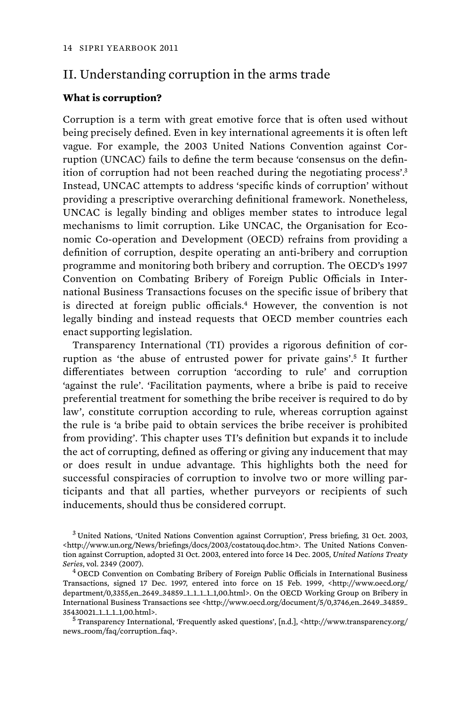# II. Understanding corruption in the arms trade

#### **What is corruption?**

Corruption is a term with great emotive force that is often used without being precisely defined. Even in key international agreements it is often left vague. For example, the 2003 United Nations Convention against Corruption (UNCAC) fails to define the term because 'consensus on the definition of corruption had not been reached during the negotiating process'.<sup>3</sup> Instead, UNCAC attempts to address 'specific kinds of corruption' without providing a prescriptive overarching definitional framework. Nonetheless, UNCAC is legally binding and obliges member states to introduce legal mechanisms to limit corruption. Like UNCAC, the Organisation for Economic Co-operation and Development (OECD) refrains from providing a definition of corruption, despite operating an anti-bribery and corruption programme and monitoring both bribery and corruption. The OECD's 1997 Convention on Combating Bribery of Foreign Public Officials in International Business Transactions focuses on the specific issue of bribery that is directed at foreign public officials.<sup>4</sup> However, the convention is not legally binding and instead requests that OECD member countries each enact supporting legislation.

Transparency International (TI) provides a rigorous definition of corruption as 'the abuse of entrusted power for private gains'.<sup>5</sup> It further differentiates between corruption 'according to rule' and corruption 'against the rule'. 'Facilitation payments, where a bribe is paid to receive preferential treatment for something the bribe receiver is required to do by law', constitute corruption according to rule, whereas corruption against the rule is 'a bribe paid to obtain services the bribe receiver is prohibited from providing'. This chapter uses TI's definition but expands it to include the act of corrupting, defined as offering or giving any inducement that may or does result in undue advantage. This highlights both the need for successful conspiracies of corruption to involve two or more willing participants and that all parties, whether purveyors or recipients of such inducements, should thus be considered corrupt.

<sup>3</sup>United Nations, 'United Nations Convention against Corruption', Press briefing, 31 Oct. 2003, <http://www.un.org/News/briefings/docs/2003/costatouq.doc.htm>. The United Nations Convention against Corruption, adopted 31 Oct. 2003, entered into force 14 Dec. 2005, *United Nations Treaty Series*, vol. 2349 (2007). 4 OECD Convention on Combating Bribery of Foreign Public Officials in International Business

Transactions, signed 17 Dec. 1997, entered into force on 15 Feb. 1999, <http://www.oecd.org/ department/0,3355,en\_2649\_34859\_1\_1\_1\_1\_1,00.html>. On the OECD Working Group on Bribery in International Business Transactions see <http://www.oecd.org/document/5/0,3746,en\_2649\_34859\_ 35430021\_1\_1\_1\_1,00.html>. 5 Transparency International, 'Frequently asked questions', [n.d.], <http://www.transparency.org/  $^{\rm 5}$ 

news\_room/faq/corruption\_faq>.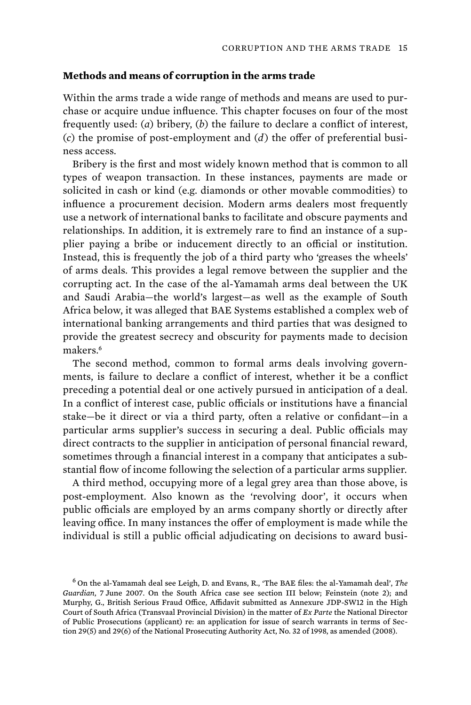### **Methods and means of corruption in the arms trade**

Within the arms trade a wide range of methods and means are used to purchase or acquire undue influence. This chapter focuses on four of the most frequently used: (*a*) bribery, (*b*) the failure to declare a conflict of interest, (*c*) the promise of post-employment and (*d*) the offer of preferential business access.

Bribery is the first and most widely known method that is common to all types of weapon transaction. In these instances, payments are made or solicited in cash or kind (e.g. diamonds or other movable commodities) to influence a procurement decision. Modern arms dealers most frequently use a network of international banks to facilitate and obscure payments and relationships. In addition, it is extremely rare to find an instance of a supplier paying a bribe or inducement directly to an official or institution. Instead, this is frequently the job of a third party who 'greases the wheels' of arms deals. This provides a legal remove between the supplier and the corrupting act. In the case of the al-Yamamah arms deal between the UK and Saudi Arabia—the world's largest—as well as the example of South Africa below, it was alleged that BAE Systems established a complex web of international banking arrangements and third parties that was designed to provide the greatest secrecy and obscurity for payments made to decision makers.<sup>6</sup>

The second method, common to formal arms deals involving governments, is failure to declare a conflict of interest, whether it be a conflict preceding a potential deal or one actively pursued in anticipation of a deal. In a conflict of interest case, public officials or institutions have a financial stake—be it direct or via a third party, often a relative or confidant—in a particular arms supplier's success in securing a deal. Public officials may direct contracts to the supplier in anticipation of personal financial reward, sometimes through a financial interest in a company that anticipates a substantial flow of income following the selection of a particular arms supplier.

A third method, occupying more of a legal grey area than those above, is post-employment. Also known as the 'revolving door', it occurs when public officials are employed by an arms company shortly or directly after leaving office. In many instances the offer of employment is made while the individual is still a public official adjudicating on decisions to award busi-

<sup>6</sup>On the al-Yamamah deal see Leigh, D. and Evans, R., 'The BAE files: the al-Yamamah deal', *The Guardian*, 7 June 2007. On the South Africa case see section III below; Feinstein (note 2); and Murphy, G., British Serious Fraud Office, Affidavit submitted as Annexure JDP-SW12 in the High Court of South Africa (Transvaal Provincial Division) in the matter of *Ex Parte* the National Director of Public Prosecutions (applicant) re: an application for issue of search warrants in terms of Section 29(5) and 29(6) of the National Prosecuting Authority Act, No. 32 of 1998, as amended (2008).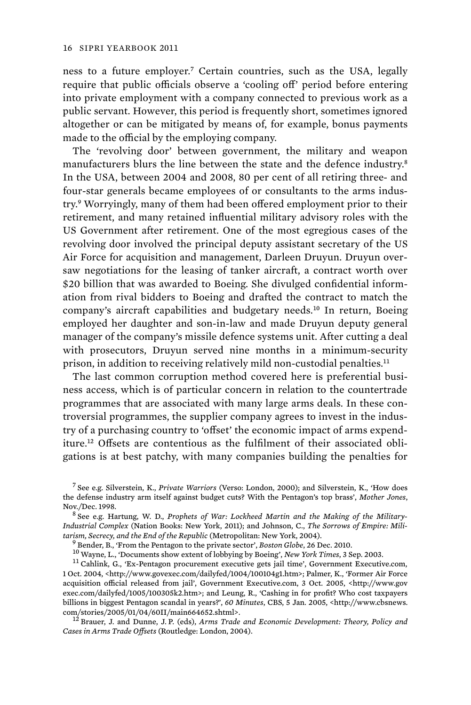ness to a future employer.<sup>7</sup> Certain countries, such as the USA, legally require that public officials observe a 'cooling off' period before entering into private employment with a company connected to previous work as a public servant. However, this period is frequently short, sometimes ignored altogether or can be mitigated by means of, for example, bonus payments made to the official by the employing company.

The 'revolving door' between government, the military and weapon manufacturers blurs the line between the state and the defence industry.<sup>8</sup> In the USA, between 2004 and 2008, 80 per cent of all retiring three- and four-star generals became employees of or consultants to the arms industry.<sup>9</sup> Worryingly, many of them had been offered employment prior to their retirement, and many retained influential military advisory roles with the US Government after retirement. One of the most egregious cases of the revolving door involved the principal deputy assistant secretary of the US Air Force for acquisition and management, Darleen Druyun. Druyun oversaw negotiations for the leasing of tanker aircraft, a contract worth over \$20 billion that was awarded to Boeing. She divulged confidential information from rival bidders to Boeing and drafted the contract to match the company's aircraft capabilities and budgetary needs.<sup>10</sup> In return, Boeing employed her daughter and son-in-law and made Druyun deputy general manager of the company's missile defence systems unit. After cutting a deal with prosecutors, Druyun served nine months in a minimum-security prison, in addition to receiving relatively mild non-custodial penalties.<sup>11</sup>

The last common corruption method covered here is preferential business access, which is of particular concern in relation to the countertrade programmes that are associated with many large arms deals. In these controversial programmes, the supplier company agrees to invest in the industry of a purchasing country to 'offset' the economic impact of arms expenditure.<sup>12</sup> Offsets are contentious as the fulfilment of their associated obligations is at best patchy, with many companies building the penalties for

<sup>7</sup>See e.g. Silverstein, K., *Private Warriors* (Verso: London, 2000); and Silverstein, K., 'How does the defense industry arm itself against budget cuts? With the Pentagon's top brass', *Mother Jones*,

 $8^{8}$  See e.g. Hartung, W. D., *Prophets of War: Lockheed Martin and the Making of the Military*-*Industrial Complex* (Nation Books: New York, 2011); and Johnson, C., *The Sorrows of Empire: Mili*tarism, Secrecy, and the End of the Republic (Metropolitan: New York, 2004).<br><sup>9</sup> Bender, B., 'From the Pentagon to the private sector', *Boston Globe*, 26 Dec. 2010.<br><sup>10</sup> Wayne, L., 'Documents show extent of lobbying by B

<sup>1</sup> Oct. 2004, <http://www.govexec.com/dailyfed/1004/100104g1.htm>; Palmer, K., 'Former Air Force acquisition official released from jail', Government Executive.com, 3 Oct. 2005, <http://www.gov exec.com/dailyfed/1005/100305k2.htm>; and Leung, R., 'Cashing in for profit? Who cost taxpayers billions in biggest Pentagon scandal in years?', *60 Minutes*, CBS, 5 Jan. 2005, <http://www.cbsnews. com/stories/2005/01/04/60II/main664652.shtml>. 12 Brauer, J. and Dunne, J. P. (eds), *Arms Trade and Economic Development: Theory, Policy and* 

*Cases in Arms Trade Offsets* (Routledge: London, 2004).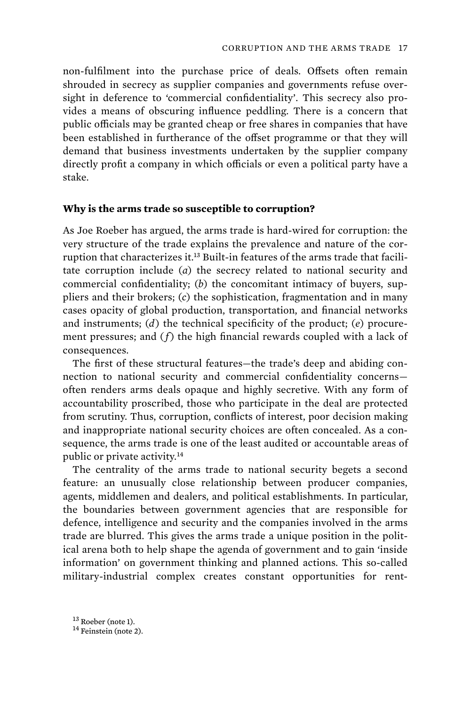non-fulfilment into the purchase price of deals. Offsets often remain shrouded in secrecy as supplier companies and governments refuse oversight in deference to 'commercial confidentiality'. This secrecy also provides a means of obscuring influence peddling. There is a concern that public officials may be granted cheap or free shares in companies that have been established in furtherance of the offset programme or that they will demand that business investments undertaken by the supplier company directly profit a company in which officials or even a political party have a stake.

#### **Why is the arms trade so susceptible to corruption?**

As Joe Roeber has argued, the arms trade is hard-wired for corruption: the very structure of the trade explains the prevalence and nature of the corruption that characterizes it.13 Built-in features of the arms trade that facilitate corruption include (*a*) the secrecy related to national security and commercial confidentiality; (*b*) the concomitant intimacy of buyers, suppliers and their brokers; (*c*) the sophistication, fragmentation and in many cases opacity of global production, transportation, and financial networks and instruments; (*d*) the technical specificity of the product; (*e*) procurement pressures; and (*f*) the high financial rewards coupled with a lack of consequences.

The first of these structural features—the trade's deep and abiding connection to national security and commercial confidentiality concerns often renders arms deals opaque and highly secretive. With any form of accountability proscribed, those who participate in the deal are protected from scrutiny. Thus, corruption, conflicts of interest, poor decision making and inappropriate national security choices are often concealed. As a consequence, the arms trade is one of the least audited or accountable areas of public or private activity.<sup>14</sup>

The centrality of the arms trade to national security begets a second feature: an unusually close relationship between producer companies, agents, middlemen and dealers, and political establishments. In particular, the boundaries between government agencies that are responsible for defence, intelligence and security and the companies involved in the arms trade are blurred. This gives the arms trade a unique position in the political arena both to help shape the agenda of government and to gain 'inside information' on government thinking and planned actions. This so-called military-industrial complex creates constant opportunities for rent-

 $13$  Roeber (note 1).<br> $14$  Feinstein (note 2).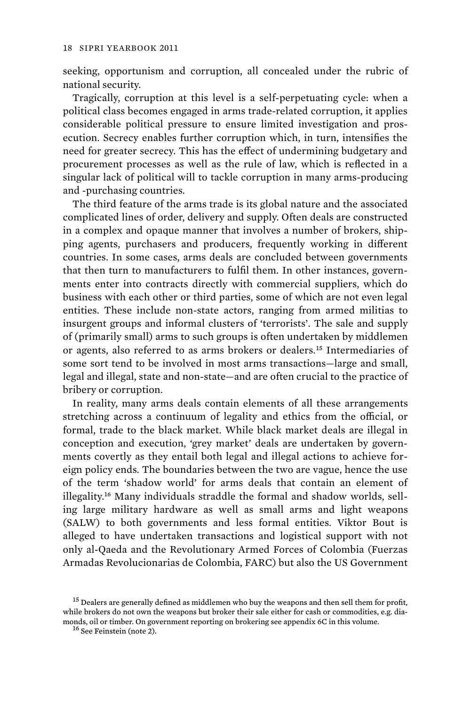seeking, opportunism and corruption, all concealed under the rubric of national security.

Tragically, corruption at this level is a self-perpetuating cycle: when a political class becomes engaged in arms trade-related corruption, it applies considerable political pressure to ensure limited investigation and prosecution. Secrecy enables further corruption which, in turn, intensifies the need for greater secrecy. This has the effect of undermining budgetary and procurement processes as well as the rule of law, which is reflected in a singular lack of political will to tackle corruption in many arms-producing and -purchasing countries.

The third feature of the arms trade is its global nature and the associated complicated lines of order, delivery and supply. Often deals are constructed in a complex and opaque manner that involves a number of brokers, shipping agents, purchasers and producers, frequently working in different countries. In some cases, arms deals are concluded between governments that then turn to manufacturers to fulfil them. In other instances, governments enter into contracts directly with commercial suppliers, which do business with each other or third parties, some of which are not even legal entities. These include non-state actors, ranging from armed militias to insurgent groups and informal clusters of 'terrorists'. The sale and supply of (primarily small) arms to such groups is often undertaken by middlemen or agents, also referred to as arms brokers or dealers.<sup>15</sup> Intermediaries of some sort tend to be involved in most arms transactions—large and small, legal and illegal, state and non-state—and are often crucial to the practice of bribery or corruption.

In reality, many arms deals contain elements of all these arrangements stretching across a continuum of legality and ethics from the official, or formal, trade to the black market. While black market deals are illegal in conception and execution, 'grey market' deals are undertaken by governments covertly as they entail both legal and illegal actions to achieve foreign policy ends. The boundaries between the two are vague, hence the use of the term 'shadow world' for arms deals that contain an element of illegality.16 Many individuals straddle the formal and shadow worlds, selling large military hardware as well as small arms and light weapons (SALW) to both governments and less formal entities. Viktor Bout is alleged to have undertaken transactions and logistical support with not only al-Qaeda and the Revolutionary Armed Forces of Colombia (Fuerzas Armadas Revolucionarias de Colombia, FARC) but also the US Government

 $^{15}$  Dealers are generally defined as middlemen who buy the weapons and then sell them for profit, while brokers do not own the weapons but broker their sale either for cash or commodities, e.g. diamonds, oil or timber. On government reporting on brokering see appendix 6C in this volume.  $^{16}$  See Feinstein (note 2).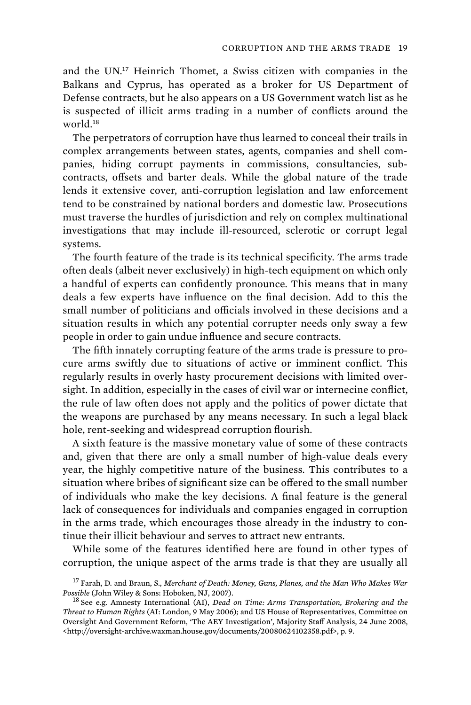and the UN.<sup>17</sup> Heinrich Thomet, a Swiss citizen with companies in the Balkans and Cyprus, has operated as a broker for US Department of Defense contracts, but he also appears on a US Government watch list as he is suspected of illicit arms trading in a number of conflicts around the world.<sup>18</sup>

The perpetrators of corruption have thus learned to conceal their trails in complex arrangements between states, agents, companies and shell companies, hiding corrupt payments in commissions, consultancies, subcontracts, offsets and barter deals. While the global nature of the trade lends it extensive cover, anti-corruption legislation and law enforcement tend to be constrained by national borders and domestic law. Prosecutions must traverse the hurdles of jurisdiction and rely on complex multinational investigations that may include ill-resourced, sclerotic or corrupt legal systems.

The fourth feature of the trade is its technical specificity. The arms trade often deals (albeit never exclusively) in high-tech equipment on which only a handful of experts can confidently pronounce. This means that in many deals a few experts have influence on the final decision. Add to this the small number of politicians and officials involved in these decisions and a situation results in which any potential corrupter needs only sway a few people in order to gain undue influence and secure contracts.

The fifth innately corrupting feature of the arms trade is pressure to procure arms swiftly due to situations of active or imminent conflict. This regularly results in overly hasty procurement decisions with limited oversight. In addition, especially in the cases of civil war or internecine conflict, the rule of law often does not apply and the politics of power dictate that the weapons are purchased by any means necessary. In such a legal black hole, rent-seeking and widespread corruption flourish.

A sixth feature is the massive monetary value of some of these contracts and, given that there are only a small number of high-value deals every year, the highly competitive nature of the business. This contributes to a situation where bribes of significant size can be offered to the small number of individuals who make the key decisions. A final feature is the general lack of consequences for individuals and companies engaged in corruption in the arms trade, which encourages those already in the industry to continue their illicit behaviour and serves to attract new entrants.

While some of the features identified here are found in other types of corruption, the unique aspect of the arms trade is that they are usually all

<sup>&</sup>lt;sup>17</sup> Farah, D. and Braun, S., Merchant of Death: Money, Guns, Planes, and the Man Who Makes War *Possible* (John Wiley & Sons: Hoboken, NJ, 2007).<br><sup>18</sup> See e.g. Amnesty International (AI), *Dead on Time: Arms Transportation, Brokering and the* 

*Threat to Human Rights* (AI: London, 9 May 2006); and US House of Representatives, Committee on Oversight And Government Reform, 'The AEY Investigation', Majority Staff Analysis, 24 June 2008, <http://oversight-archive.waxman.house.gov/documents/20080624102358.pdf>, p. 9.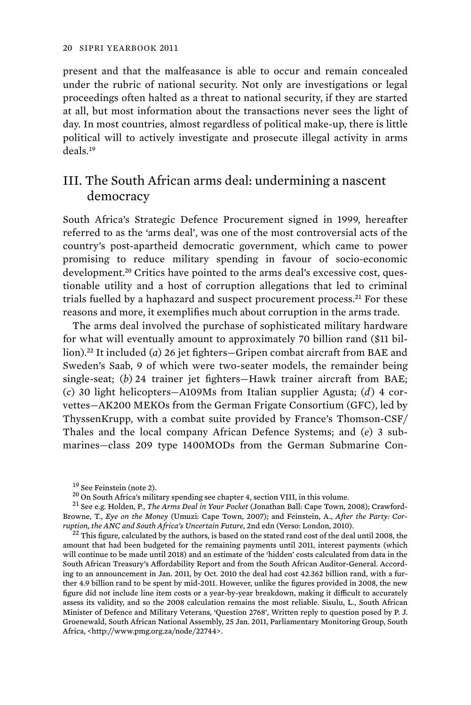present and that the malfeasance is able to occur and remain concealed under the rubric of national security. Not only are investigations or legal proceedings often halted as a threat to national security, if they are started at all, but most information about the transactions never sees the light of day. In most countries, almost regardless of political make-up, there is little political will to actively investigate and prosecute illegal activity in arms deals.<sup>19</sup>

# III. The South African arms deal: undermining a nascent democracy

South Africa's Strategic Defence Procurement signed in 1999, hereafter referred to as the 'arms deal', was one of the most controversial acts of the country's post-apartheid democratic government, which came to power promising to reduce military spending in favour of socio-economic development.<sup>20</sup> Critics have pointed to the arms deal's excessive cost, questionable utility and a host of corruption allegations that led to criminal trials fuelled by a haphazard and suspect procurement process.<sup>21</sup> For these reasons and more, it exemplifies much about corruption in the arms trade.

The arms deal involved the purchase of sophisticated military hardware for what will eventually amount to approximately 70 billion rand (\$11 billion).<sup>22</sup> It included (*a*) 26 jet fighters—Gripen combat aircraft from BAE and Sweden's Saab, 9 of which were two-seater models, the remainder being single-seat; (*b*) 24 trainer jet fighters—Hawk trainer aircraft from BAE; (*c*) 30 light helicopters—A109Ms from Italian supplier Agusta; (*d*) 4 corvettes—AK200 MEKOs from the German Frigate Consortium (GFC), led by ThyssenKrupp, with a combat suite provided by France's Thomson-CSF/ Thales and the local company African Defence Systems; and (*e*) 3 submarines—class 209 type 1400MODs from the German Submarine Con-

<sup>&</sup>lt;sup>19</sup> See Feinstein (note 2).<br><sup>20</sup> On South Africa's military spending see chapter 4, section VIII, in this volume.<br><sup>21</sup> See e.g. Holden, P., *The Arms Deal in Your Pocket* (Jonathan Ball: Cape Town, 2008); Crawford-Browne, T., *Eye on the Money* (Umuzi: Cape Town, 2007); and Feinstein, A., *After the Party: Cor-*

<sup>&</sup>lt;sup>22</sup> This figure, calculated by the authors, is based on the stated rand cost of the deal until 2008, the amount that had been budgeted for the remaining payments until 2011, interest payments (which will continue to be made until 2018) and an estimate of the 'hidden' costs calculated from data in the South African Treasury's Affordability Report and from the South African Auditor-General. According to an announcement in Jan. 2011, by Oct. 2010 the deal had cost 42.362 billion rand, with a further 4.9 billion rand to be spent by mid-2011. However, unlike the figures provided in 2008, the new figure did not include line item costs or a year-by-year breakdown, making it difficult to accurately assess its validity, and so the 2008 calculation remains the most reliable. Sisulu, L., South African Minister of Defence and Military Veterans, 'Question 2768', Written reply to question posed by P. J. Groenewald, South African National Assembly, 25 Jan. 2011, Parliamentary Monitoring Group, South Africa, <http://www.pmg.org.za/node/22744>.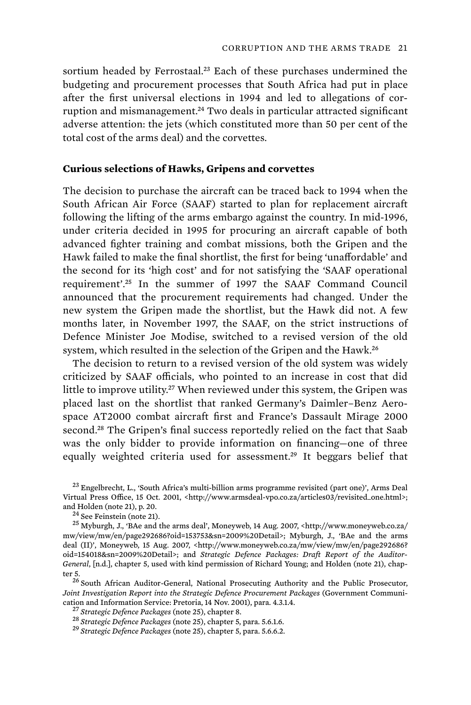sortium headed by Ferrostaal.<sup>23</sup> Each of these purchases undermined the budgeting and procurement processes that South Africa had put in place after the first universal elections in 1994 and led to allegations of corruption and mismanagement.<sup>24</sup> Two deals in particular attracted significant adverse attention: the jets (which constituted more than 50 per cent of the total cost of the arms deal) and the corvettes.

#### **Curious selections of Hawks, Gripens and corvettes**

The decision to purchase the aircraft can be traced back to 1994 when the South African Air Force (SAAF) started to plan for replacement aircraft following the lifting of the arms embargo against the country. In mid-1996, under criteria decided in 1995 for procuring an aircraft capable of both advanced fighter training and combat missions, both the Gripen and the Hawk failed to make the final shortlist, the first for being 'unaffordable' and the second for its 'high cost' and for not satisfying the 'SAAF operational requirement'.<sup>25</sup> In the summer of 1997 the SAAF Command Council announced that the procurement requirements had changed. Under the new system the Gripen made the shortlist, but the Hawk did not. A few months later, in November 1997, the SAAF, on the strict instructions of Defence Minister Joe Modise, switched to a revised version of the old system, which resulted in the selection of the Gripen and the Hawk.<sup>26</sup>

The decision to return to a revised version of the old system was widely criticized by SAAF officials, who pointed to an increase in cost that did little to improve utility.<sup>27</sup> When reviewed under this system, the Gripen was placed last on the shortlist that ranked Germany's Daimler–Benz Aerospace AT2000 combat aircraft first and France's Dassault Mirage 2000 second.<sup>28</sup> The Gripen's final success reportedly relied on the fact that Saab was the only bidder to provide information on financing—one of three equally weighted criteria used for assessment.<sup>29</sup> It beggars belief that

<sup>&</sup>lt;sup>23</sup> Engelbrecht, L., 'South Africa's multi-billion arms programme revisited (part one)', Arms Deal Virtual Press Office, 15 Oct. 2001, <http://www.armsdeal-vpo.co.za/articles03/revisited\_one.html>; and Holden (note 21), p. 20.

 $^{24}$ See Feinstein (note 21). <br> $^{25}$  Myburgh, J., 'BAe and the arms deal', Moneyweb, 14 Aug. 2007, <http://www.moneyweb.co.za/ mw/view/mw/en/page292686?oid=153753&sn=2009%20Detail>; Myburgh, J., 'BAe and the arms deal (II)', Moneyweb, 15 Aug. 2007, <http://www.moneyweb.co.za/mw/view/mw/en/page292686? oid=154018&sn=2009%20Detail>; and *Strategic Defence Packages: Draft Report of the Auditor-General*, [n.d.], chapter 5, used with kind permission of Richard Young; and Holden (note 21), chap-

ter 5. 26 South African Auditor-General, National Prosecuting Authority and the Public Prosecutor, *Joint Investigation Report into the Strategic Defence Procurement Packages* (Government Communi-

<sup>&</sup>lt;sup>27</sup> Strategic Defence Packages (note 25), chapter 8.<br><sup>28</sup> Strategic Defence Packages (note 25), chapter 5, para. 5.6.1.6.<br><sup>29</sup> Strategic Defence Packages (note 25), chapter 5, para. 5.6.6.2.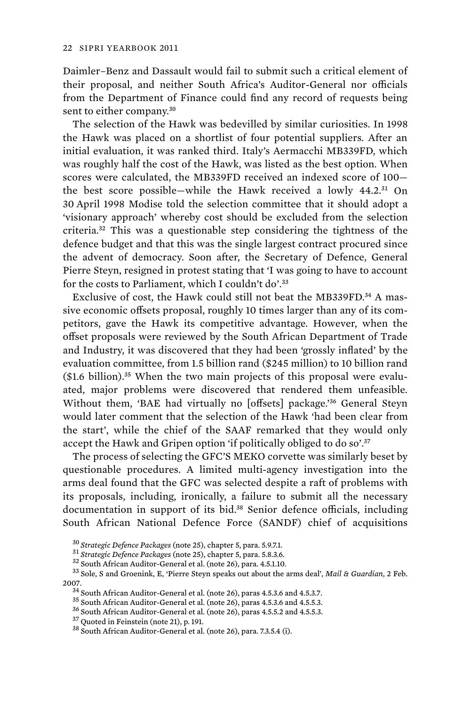Daimler–Benz and Dassault would fail to submit such a critical element of their proposal, and neither South Africa's Auditor-General nor officials from the Department of Finance could find any record of requests being sent to either company.<sup>30</sup>

The selection of the Hawk was bedevilled by similar curiosities. In 1998 the Hawk was placed on a shortlist of four potential suppliers. After an initial evaluation, it was ranked third. Italy's Aermacchi MB339FD, which was roughly half the cost of the Hawk, was listed as the best option. When scores were calculated, the MB339FD received an indexed score of 100 the best score possible—while the Hawk received a lowly 44.2.<sup>31</sup> On 30 April 1998 Modise told the selection committee that it should adopt a 'visionary approach' whereby cost should be excluded from the selection criteria.<sup>32</sup> This was a questionable step considering the tightness of the defence budget and that this was the single largest contract procured since the advent of democracy. Soon after, the Secretary of Defence, General Pierre Steyn, resigned in protest stating that 'I was going to have to account for the costs to Parliament, which I couldn't do'.<sup>33</sup>

Exclusive of cost, the Hawk could still not beat the MB339FD.<sup>34</sup> A massive economic offsets proposal, roughly 10 times larger than any of its competitors, gave the Hawk its competitive advantage. However, when the offset proposals were reviewed by the South African Department of Trade and Industry, it was discovered that they had been 'grossly inflated' by the evaluation committee, from 1.5 billion rand (\$245 million) to 10 billion rand  $($1.6 billion).$ <sup>35</sup> When the two main projects of this proposal were evaluated, major problems were discovered that rendered them unfeasible. Without them, 'BAE had virtually no [offsets] package.'<sup>36</sup> General Steyn would later comment that the selection of the Hawk 'had been clear from the start', while the chief of the SAAF remarked that they would only accept the Hawk and Gripen option 'if politically obliged to do so'.<sup>37</sup>

The process of selecting the GFC'S MEKO corvette was similarly beset by questionable procedures. A limited multi-agency investigation into the arms deal found that the GFC was selected despite a raft of problems with its proposals, including, ironically, a failure to submit all the necessary documentation in support of its bid.<sup>38</sup> Senior defence officials, including South African National Defence Force (SANDF) chief of acquisitions

 $^{30}$ Strategic Defence Packages (note 25), chapter 5, para. 5.9.7.1.<br> $^{31}$ Strategic Defence Packages (note 25), chapter 5, para. 5.8.3.6.<br> $^{32}$  South African Auditor-General et al. (note 26), para. 4.5.1.10.<br> $^{32}$  Sol 2007.<br><sup>34</sup> South African Auditor-General et al. (note 26), paras 4.5.3.6 and 4.5.3.7.<br><sup>35</sup> South African Auditor-General et al. (note 26), paras 4.5.3.6 and 4.5.5.3.<br><sup>36</sup> South African Auditor-General et al. (note 26), pa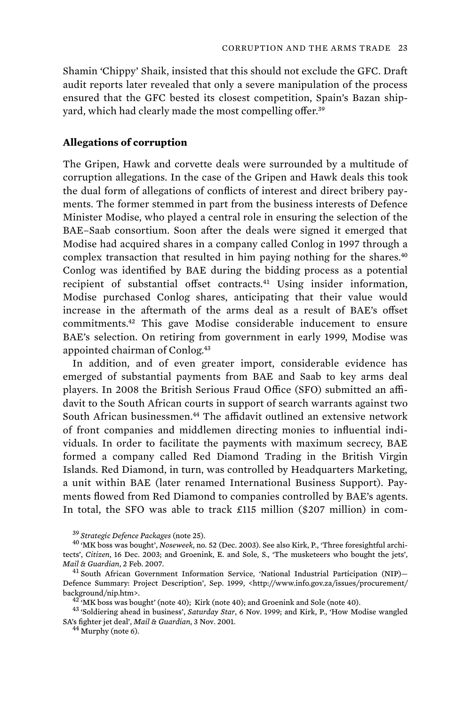Shamin 'Chippy' Shaik, insisted that this should not exclude the GFC. Draft audit reports later revealed that only a severe manipulation of the process ensured that the GFC bested its closest competition, Spain's Bazan shipyard, which had clearly made the most compelling offer.<sup>39</sup>

### **Allegations of corruption**

The Gripen, Hawk and corvette deals were surrounded by a multitude of corruption allegations. In the case of the Gripen and Hawk deals this took the dual form of allegations of conflicts of interest and direct bribery payments. The former stemmed in part from the business interests of Defence Minister Modise, who played a central role in ensuring the selection of the BAE–Saab consortium. Soon after the deals were signed it emerged that Modise had acquired shares in a company called Conlog in 1997 through a complex transaction that resulted in him paying nothing for the shares.<sup>40</sup> Conlog was identified by BAE during the bidding process as a potential recipient of substantial offset contracts.<sup>41</sup> Using insider information, Modise purchased Conlog shares, anticipating that their value would increase in the aftermath of the arms deal as a result of BAE's offset commitments.<sup>42</sup> This gave Modise considerable inducement to ensure BAE's selection. On retiring from government in early 1999, Modise was appointed chairman of Conlog.<sup>43</sup>

In addition, and of even greater import, considerable evidence has emerged of substantial payments from BAE and Saab to key arms deal players. In 2008 the British Serious Fraud Office (SFO) submitted an affidavit to the South African courts in support of search warrants against two South African businessmen.<sup>44</sup> The affidavit outlined an extensive network of front companies and middlemen directing monies to influential individuals. In order to facilitate the payments with maximum secrecy, BAE formed a company called Red Diamond Trading in the British Virgin Islands. Red Diamond, in turn, was controlled by Headquarters Marketing, a unit within BAE (later renamed International Business Support). Payments flowed from Red Diamond to companies controlled by BAE's agents. In total, the SFO was able to track £115 million (\$207 million) in com-

<sup>39</sup>*Strategic Defence Packages* (note 25). 40 'MK boss was bought', *Noseweek*, no. 52 (Dec. 2003). See also Kirk, P., 'Three foresightful architects', *Citizen*, 16 Dec. 2003; and Groenink, E. and Sole, S., 'The musketeers who bought the jets',

<sup>&</sup>lt;sup>41</sup> South African Government Information Service, 'National Industrial Participation (NIP)-Defence Summary: Project Description', Sep. 1999, <http://www.info.gov.za/issues/procurement/ background/nip.htm>. 42 'MK boss was bought' (note 40); Kirk (note 40); and Groenink and Sole (note 40). 43 'Soldiering ahead in business', *Saturday Star*, 6 Nov. 1999; and Kirk, P., 'How Modise wangled

SA's fighter jet deal', *Mail & Guardian*, 3 Nov. 2001. 44 Murphy (note 6).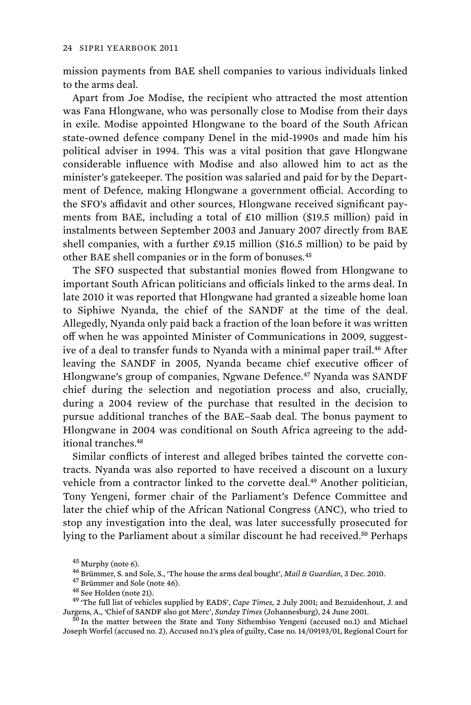mission payments from BAE shell companies to various individuals linked to the arms deal.

Apart from Joe Modise, the recipient who attracted the most attention was Fana Hlongwane, who was personally close to Modise from their days in exile. Modise appointed Hlongwane to the board of the South African state-owned defence company Denel in the mid-1990s and made him his political adviser in 1994. This was a vital position that gave Hlongwane considerable influence with Modise and also allowed him to act as the minister's gatekeeper. The position was salaried and paid for by the Department of Defence, making Hlongwane a government official. According to the SFO's affidavit and other sources, Hlongwane received significant payments from BAE, including a total of £10 million (\$19.5 million) paid in instalments between September 2003 and January 2007 directly from BAE shell companies, with a further  $£9.15$  million (\$16.5 million) to be paid by other BAE shell companies or in the form of bonuses.<sup>45</sup>

The SFO suspected that substantial monies flowed from Hlongwane to important South African politicians and officials linked to the arms deal. In late 2010 it was reported that Hlongwane had granted a sizeable home loan to Siphiwe Nyanda, the chief of the SANDF at the time of the deal. Allegedly, Nyanda only paid back a fraction of the loan before it was written off when he was appointed Minister of Communications in 2009, suggestive of a deal to transfer funds to Nyanda with a minimal paper trail.<sup>46</sup> After leaving the SANDF in 2005, Nyanda became chief executive officer of Hlongwane's group of companies, Ngwane Defence.<sup>47</sup> Nyanda was SANDF chief during the selection and negotiation process and also, crucially, during a 2004 review of the purchase that resulted in the decision to pursue additional tranches of the BAE–Saab deal. The bonus payment to Hlongwane in 2004 was conditional on South Africa agreeing to the additional tranches.<sup>48</sup>

Similar conflicts of interest and alleged bribes tainted the corvette contracts. Nyanda was also reported to have received a discount on a luxury vehicle from a contractor linked to the corvette deal.<sup>49</sup> Another politician, Tony Yengeni, former chair of the Parliament's Defence Committee and later the chief whip of the African National Congress (ANC), who tried to stop any investigation into the deal, was later successfully prosecuted for lying to the Parliament about a similar discount he had received.<sup>50</sup> Perhaps

<sup>&</sup>lt;sup>45</sup> Murphy (note 6).<br><sup>46</sup> Brümmer, S. and Sole, S., 'The house the arms deal bought', *Mail & Guardian*, 3 Dec. 2010.<br><sup>47</sup> Brümmer and Sole (note 46).<br><sup>48</sup> See Holden (note 21).<br><sup>48</sup> The full list of vehicles supplied by Jurgens, A., 'Chief of SANDF also got Merc', *Sunday Times* (Johannesburg), 24 June 2001. 50 In the matter between the State and Tony Sithembiso Yengeni (accused no.1) and Michael

Joseph Worfel (accused no. 2), Accused no.1's plea of guilty, Case no. 14/09193/01, Regional Court for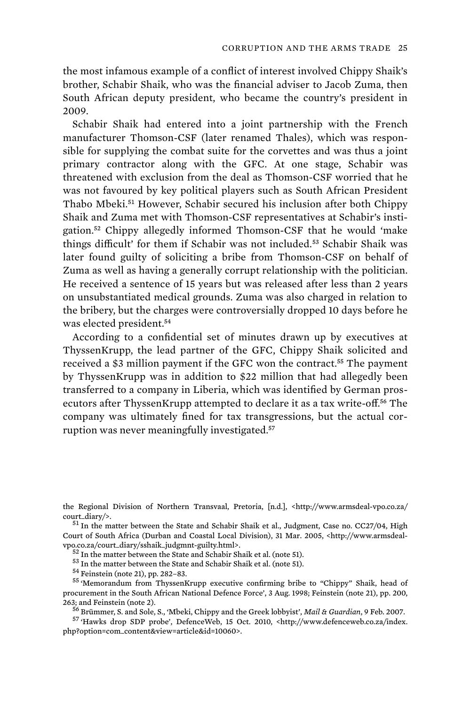the most infamous example of a conflict of interest involved Chippy Shaik's brother, Schabir Shaik, who was the financial adviser to Jacob Zuma, then South African deputy president, who became the country's president in 2009.

Schabir Shaik had entered into a joint partnership with the French manufacturer Thomson-CSF (later renamed Thales), which was responsible for supplying the combat suite for the corvettes and was thus a joint primary contractor along with the GFC. At one stage, Schabir was threatened with exclusion from the deal as Thomson-CSF worried that he was not favoured by key political players such as South African President Thabo Mbeki.<sup>51</sup> However, Schabir secured his inclusion after both Chippy Shaik and Zuma met with Thomson-CSF representatives at Schabir's instigation.<sup>52</sup> Chippy allegedly informed Thomson-CSF that he would 'make things difficult' for them if Schabir was not included.<sup>53</sup> Schabir Shaik was later found guilty of soliciting a bribe from Thomson-CSF on behalf of Zuma as well as having a generally corrupt relationship with the politician. He received a sentence of 15 years but was released after less than 2 years on unsubstantiated medical grounds. Zuma was also charged in relation to the bribery, but the charges were controversially dropped 10 days before he was elected president.<sup>54</sup>

According to a confidential set of minutes drawn up by executives at ThyssenKrupp, the lead partner of the GFC, Chippy Shaik solicited and received a \$3 million payment if the GFC won the contract.<sup>55</sup> The payment by ThyssenKrupp was in addition to \$22 million that had allegedly been transferred to a company in Liberia, which was identified by German prosecutors after ThyssenKrupp attempted to declare it as a tax write-off.<sup>56</sup> The company was ultimately fined for tax transgressions, but the actual corruption was never meaningfully investigated.<sup>57</sup>

the Regional Division of Northern Transvaal, Pretoria, [n.d.], <http://www.armsdeal-vpo.co.za/ court\_diary/>.  $^{51}$  In the matter between the State and Schabir Shaik et al., Judgment, Case no. CC27/04, High

Court of South Africa (Durban and Coastal Local Division), 31 Mar. 2005, <http://www.armsdeal-% vpo.co.za/court\_diary/sshaik\_judgmnt-guilty.html<br> $\sim$   $^{52}$  In the matter between the State and Schabir Shaik et al. (note 51).<br> $^{52}$  In the matter between the State and Schabir Shaik et al. (note 51).<br> $^{54}$  Feinstei

procurement in the South African National Defence Force', 3 Aug. 1998; Feinstein (note 21), pp. 200, 263; and Feinstein (note 2). 56 Brümmer, S. and Sole, S., 'Mbeki, Chippy and the Greek lobbyist', *Mail & Guardian*, 9 Feb. 2007. 57 'Hawks drop SDP probe', DefenceWeb, 15 Oct. 2010, <http://www.defenceweb.co.za/index.

php?option=com\_content&view=article&id=10060>.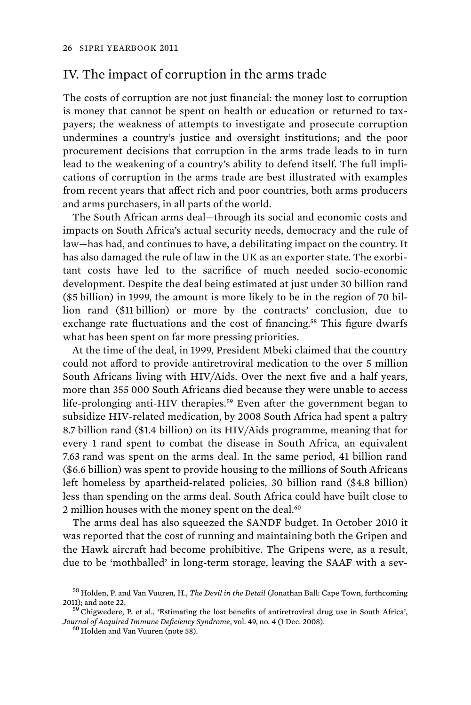## IV. The impact of corruption in the arms trade

The costs of corruption are not just financial: the money lost to corruption is money that cannot be spent on health or education or returned to taxpayers; the weakness of attempts to investigate and prosecute corruption undermines a country's justice and oversight institutions; and the poor procurement decisions that corruption in the arms trade leads to in turn lead to the weakening of a country's ability to defend itself. The full implications of corruption in the arms trade are best illustrated with examples from recent years that affect rich and poor countries, both arms producers and arms purchasers, in all parts of the world.

The South African arms deal—through its social and economic costs and impacts on South Africa's actual security needs, democracy and the rule of law—has had, and continues to have, a debilitating impact on the country. It has also damaged the rule of law in the UK as an exporter state. The exorbitant costs have led to the sacrifice of much needed socio-economic development. Despite the deal being estimated at just under 30 billion rand (\$5 billion) in 1999, the amount is more likely to be in the region of 70 billion rand (\$11 billion) or more by the contracts' conclusion, due to exchange rate fluctuations and the cost of financing.<sup>58</sup> This figure dwarfs what has been spent on far more pressing priorities.

At the time of the deal, in 1999, President Mbeki claimed that the country could not afford to provide antiretroviral medication to the over 5 million South Africans living with HIV/Aids. Over the next five and a half years, more than 355 000 South Africans died because they were unable to access life-prolonging anti-HIV therapies.<sup>59</sup> Even after the government began to subsidize HIV-related medication, by 2008 South Africa had spent a paltry 8.7 billion rand (\$1.4 billion) on its HIV/Aids programme, meaning that for every 1 rand spent to combat the disease in South Africa, an equivalent 7.63 rand was spent on the arms deal. In the same period, 41 billion rand (\$6.6 billion) was spent to provide housing to the millions of South Africans left homeless by apartheid-related policies, 30 billion rand (\$4.8 billion) less than spending on the arms deal. South Africa could have built close to 2 million houses with the money spent on the deal.<sup>60</sup>

The arms deal has also squeezed the SANDF budget. In October 2010 it was reported that the cost of running and maintaining both the Gripen and the Hawk aircraft had become prohibitive. The Gripens were, as a result, due to be 'mothballed' in long-term storage, leaving the SAAF with a sev-

<sup>&</sup>lt;sup>58</sup> Holden, P. and Van Vuuren, H., *The Devil in the Detail* (Jonathan Ball: Cape Town, forthcoming 2011); and note 22.  $^{59}$  Chigwedere, P. et al., 'Estimating the lost benefits of antiretroviral drug use in South Africa',

*Journal of Acquired Immune Deficiency Syndrome*, vol. 49, no. 4 (1 Dec. 2008). 60 Holden and Van Vuuren (note 58).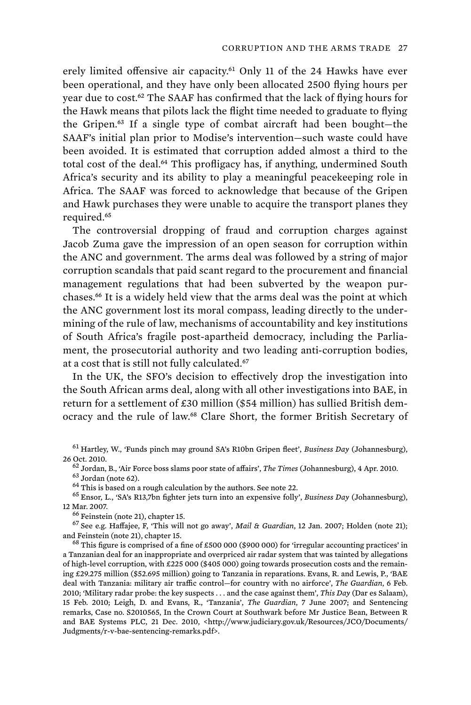erely limited offensive air capacity.<sup>61</sup> Only 11 of the 24 Hawks have ever been operational, and they have only been allocated 2500 flying hours per year due to cost.<sup>62</sup> The SAAF has confirmed that the lack of flying hours for the Hawk means that pilots lack the flight time needed to graduate to flying the Gripen.<sup>63</sup> If a single type of combat aircraft had been bought—the SAAF's initial plan prior to Modise's intervention—such waste could have been avoided. It is estimated that corruption added almost a third to the total cost of the deal.<sup>64</sup> This profligacy has, if anything, undermined South Africa's security and its ability to play a meaningful peacekeeping role in Africa. The SAAF was forced to acknowledge that because of the Gripen and Hawk purchases they were unable to acquire the transport planes they required.<sup>65</sup>

The controversial dropping of fraud and corruption charges against Jacob Zuma gave the impression of an open season for corruption within the ANC and government. The arms deal was followed by a string of major corruption scandals that paid scant regard to the procurement and financial management regulations that had been subverted by the weapon purchases.<sup>66</sup> It is a widely held view that the arms deal was the point at which the ANC government lost its moral compass, leading directly to the undermining of the rule of law, mechanisms of accountability and key institutions of South Africa's fragile post-apartheid democracy, including the Parliament, the prosecutorial authority and two leading anti-corruption bodies, at a cost that is still not fully calculated.<sup>67</sup>

In the UK, the SFO's decision to effectively drop the investigation into the South African arms deal, along with all other investigations into BAE, in return for a settlement of £30 million (\$54 million) has sullied British democracy and the rule of law.<sup>68</sup> Clare Short, the former British Secretary of

26 Oct. 2010.<br><sup>62</sup> Jordan, B., 'Air Force boss slams poor state of affairs', *The Times* (Johannesburg), 4 Apr. 2010.<br><sup>63</sup> Jordan (note 62).<br><sup>64</sup> This is based on a rough calculation by the authors. See note 22.<br><sup>65</sup> Enso

<sup>66</sup> Feinstein (note 21), chapter 15.<br><sup>67</sup> See e.g. Haffajee, F, 'This will not go away', *Mail & Guardian*, 12 Jan. 2007; Holden (note 21); and Feinstein (note 21), chapter 15.<br><sup>68</sup> This figure is comprised of a fine of £500 000 (\$900 000) for 'irregular accounting practices' in

a Tanzanian deal for an inappropriate and overpriced air radar system that was tainted by allegations of high-level corruption, with £225 000 (\$405 000) going towards prosecution costs and the remaining £29.275 million (\$52.695 million) going to Tanzania in reparations. Evans, R. and Lewis, P., 'BAE deal with Tanzania: military air traffic control—for country with no airforce', *The Guardian*, 6 Feb. 2010; 'Military radar probe: the key suspects . . . and the case against them', *This Day* (Dar es Salaam), 15 Feb. 2010; Leigh, D. and Evans, R., 'Tanzania', *The Guardian*, 7 June 2007; and Sentencing remarks, Case no. S2010565, In the Crown Court at Southwark before Mr Justice Bean, Between R and BAE Systems PLC, 21 Dec. 2010, <http://www.judiciary.gov.uk/Resources/JCO/Documents/ Judgments/r-v-bae-sentencing-remarks.pdf>.

<sup>61</sup>Hartley, W., 'Funds pinch may ground SA's R10bn Gripen fleet', *Business Day* (Johannesburg),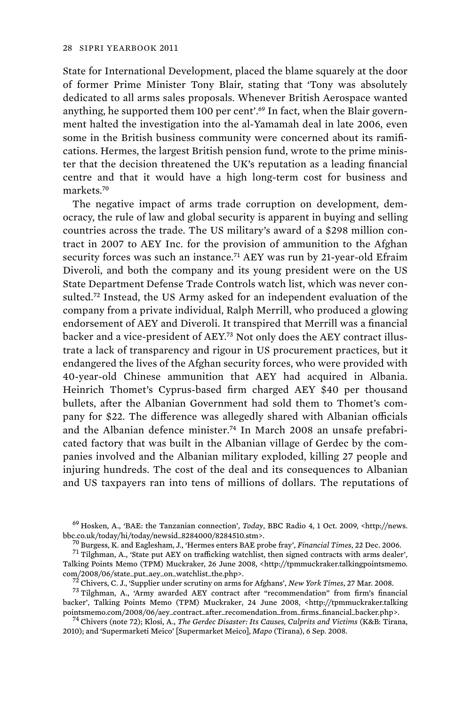State for International Development, placed the blame squarely at the door of former Prime Minister Tony Blair, stating that 'Tony was absolutely dedicated to all arms sales proposals. Whenever British Aerospace wanted anything, he supported them 100 per cent'.<sup>69</sup> In fact, when the Blair government halted the investigation into the al-Yamamah deal in late 2006, even some in the British business community were concerned about its ramifications. Hermes, the largest British pension fund, wrote to the prime minister that the decision threatened the UK's reputation as a leading financial centre and that it would have a high long-term cost for business and markets.<sup>70</sup>

The negative impact of arms trade corruption on development, democracy, the rule of law and global security is apparent in buying and selling countries across the trade. The US military's award of a \$298 million contract in 2007 to AEY Inc. for the provision of ammunition to the Afghan security forces was such an instance.<sup>71</sup> AEY was run by 21-year-old Efraim Diveroli, and both the company and its young president were on the US State Department Defense Trade Controls watch list, which was never consulted.<sup>72</sup> Instead, the US Army asked for an independent evaluation of the company from a private individual, Ralph Merrill, who produced a glowing endorsement of AEY and Diveroli. It transpired that Merrill was a financial backer and a vice-president of AEY.73 Not only does the AEY contract illustrate a lack of transparency and rigour in US procurement practices, but it endangered the lives of the Afghan security forces, who were provided with 40-year-old Chinese ammunition that AEY had acquired in Albania. Heinrich Thomet's Cyprus-based firm charged AEY \$40 per thousand bullets, after the Albanian Government had sold them to Thomet's company for \$22. The difference was allegedly shared with Albanian officials and the Albanian defence minister.74 In March 2008 an unsafe prefabricated factory that was built in the Albanian village of Gerdec by the companies involved and the Albanian military exploded, killing 27 people and injuring hundreds. The cost of the deal and its consequences to Albanian and US taxpayers ran into tens of millions of dollars. The reputations of

<sup>69</sup>Hosken, A., 'BAE: the Tanzanian connection', *Today*, BBC Radio 4, 1 Oct. 2009, <http://news. bbc.co.uk/today/hi/today/newsid\_8284000/8284510.stm>.<br><sup>70</sup> Burgess, K. and Eaglesham, J., 'Hermes enters BAE probe fray', *Financial Times*, 22 Dec. 2006.<br><sup>71</sup> Tilghman, A., 'State put AEY on trafficking watchlist, then si

Talking Points Memo (TPM) Muckraker, 26 June 2008, <http://tpmmuckraker.talkingpointsmemo.  $\frac{\text{com}}{2}$ 2008/06/state\_put\_aey\_on\_watchlist\_the.php>.<br><sup>72</sup> Chivers, C. J., 'Supplier under scrutiny on arms for Afghans', *New York Times*, 27 Mar. 2008.<br><sup>73</sup> Tilghman, A., 'Army awarded AEY contract after "recommendat

backer', Talking Points Memo (TPM) Muckraker, 24 June 2008, <http://tpmmuckraker.talking pointsmemo.com/2008/06/aey\_contract\_after\_recomendation\_from\_firms\_financial\_backer.php>. 74 Chivers (note 72); Klosi, A., *The Gerdec Disaster: Its Causes, Culprits and Victims* (K&B: Tirana,

2010); and 'Supermarketi Meico' [Supermarket Meico], *Mapo* (Tirana), 6 Sep. 2008.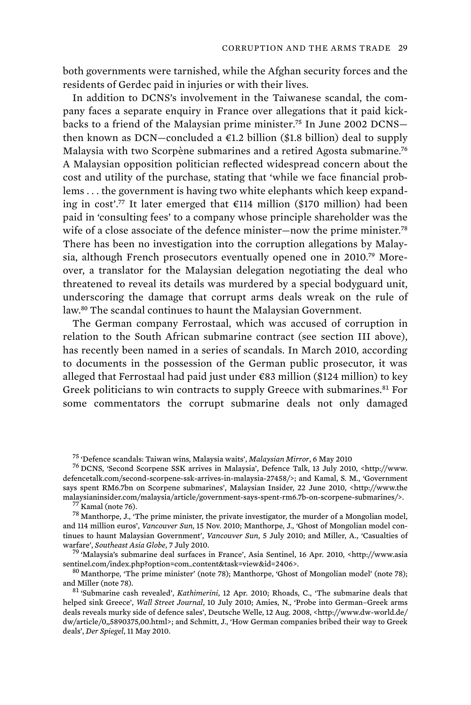both governments were tarnished, while the Afghan security forces and the residents of Gerdec paid in injuries or with their lives.

In addition to DCNS's involvement in the Taiwanese scandal, the company faces a separate enquiry in France over allegations that it paid kickbacks to a friend of the Malaysian prime minister.<sup>75</sup> In June 2002 DCNS then known as DCN—concluded a  $E1.2$  billion (\$1.8 billion) deal to supply Malaysia with two Scorpène submarines and a retired Agosta submarine.<sup>76</sup> A Malaysian opposition politician reflected widespread concern about the cost and utility of the purchase, stating that 'while we face financial problems . . . the government is having two white elephants which keep expanding in cost'.<sup>77</sup> It later emerged that €114 million (\$170 million) had been paid in 'consulting fees' to a company whose principle shareholder was the wife of a close associate of the defence minister—now the prime minister.<sup>78</sup> There has been no investigation into the corruption allegations by Malaysia, although French prosecutors eventually opened one in 2010.79 Moreover, a translator for the Malaysian delegation negotiating the deal who threatened to reveal its details was murdered by a special bodyguard unit, underscoring the damage that corrupt arms deals wreak on the rule of law.<sup>80</sup> The scandal continues to haunt the Malaysian Government.

The German company Ferrostaal, which was accused of corruption in relation to the South African submarine contract (see section III above), has recently been named in a series of scandals. In March 2010, according to documents in the possession of the German public prosecutor, it was alleged that Ferrostaal had paid just under €83 million (\$124 million) to key Greek politicians to win contracts to supply Greece with submarines.<sup>81</sup> For some commentators the corrupt submarine deals not only damaged

<sup>&</sup>lt;sup>75</sup> 'Defence scandals: Taiwan wins, Malaysia waits', *Malaysian Mirror*, 6 May 2010<br><sup>76</sup> DCNS, 'Second Scorpene SSK arrives in Malaysia', Defence Talk, 13 July 2010, <http://www. defencetalk.com/second-scorpene-ssk-arrives-in-malaysia-27458/>; and Kamal, S. M., 'Government says spent RM6.7bn on Scorpene submarines', Malaysian Insider, 22 June 2010, <http://www.the malaysianinsider.com/malaysia/article/government-says-spent-rm6.7b-on-scorpene-submarines/>. 77 Kamal (note 76). <br>  $78$  Manthorpe, J., 'The prime minister, the private investigator, the murder of a Mongolian model,

and 114 million euros', *Vancouver Sun*, 15 Nov. 2010; Manthorpe, J., 'Ghost of Mongolian model continues to haunt Malaysian Government', *Vancouver Sun*, 5 July 2010; and Miller, A., 'Casualties of

<sup>&</sup>lt;sup>79</sup> 'Malaysia's submarine deal surfaces in France', Asia Sentinel, 16 Apr. 2010, <http://www.asia sentinel.com/index.php?option=com\_content&task=view&id=2406>.<br><sup>80</sup> Manthorpe, 'The prime minister' (note 78); Manthorpe, 'Ghost of Mongolian model' (note 78);

and Miller (note 78). 81 'Submarine cash revealed', *Kathimerini*, 12 Apr. 2010; Rhoads, C., 'The submarine deals that

helped sink Greece', *Wall Street Journal*, 10 July 2010; Amies, N., 'Probe into German–Greek arms deals reveals murky side of defence sales', Deutsche Welle, 12 Aug. 2008, <http://www.dw-world.de/ dw/article/0,,5890375,00.html>; and Schmitt, J., 'How German companies bribed their way to Greek deals', *Der Spiegel*, 11 May 2010.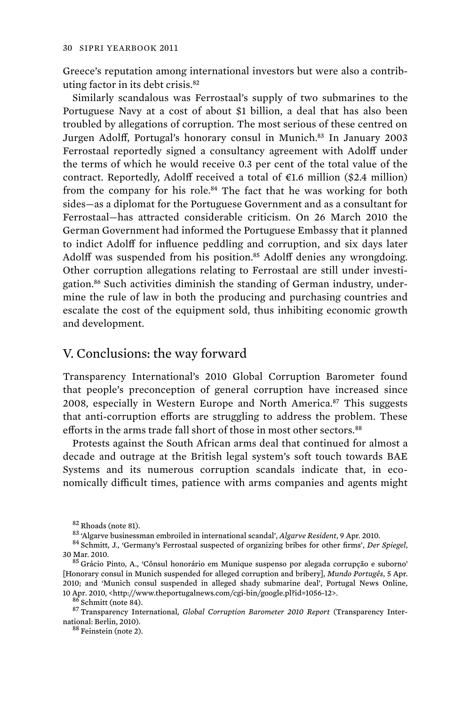Greece's reputation among international investors but were also a contributing factor in its debt crisis.<sup>82</sup>

Similarly scandalous was Ferrostaal's supply of two submarines to the Portuguese Navy at a cost of about \$1 billion, a deal that has also been troubled by allegations of corruption. The most serious of these centred on Jurgen Adolff, Portugal's honorary consul in Munich.<sup>83</sup> In January 2003 Ferrostaal reportedly signed a consultancy agreement with Adolff under the terms of which he would receive 0.3 per cent of the total value of the contract. Reportedly, Adolff received a total of  $\epsilon$ 1.6 million (\$2.4 million) from the company for his role.<sup>84</sup> The fact that he was working for both sides—as a diplomat for the Portuguese Government and as a consultant for Ferrostaal—has attracted considerable criticism. On 26 March 2010 the German Government had informed the Portuguese Embassy that it planned to indict Adolff for influence peddling and corruption, and six days later Adolff was suspended from his position.<sup>85</sup> Adolff denies any wrongdoing. Other corruption allegations relating to Ferrostaal are still under investigation.<sup>86</sup> Such activities diminish the standing of German industry, undermine the rule of law in both the producing and purchasing countries and escalate the cost of the equipment sold, thus inhibiting economic growth and development.

### V. Conclusions: the way forward

Transparency International's 2010 Global Corruption Barometer found that people's preconception of general corruption have increased since 2008, especially in Western Europe and North America.<sup>87</sup> This suggests that anti-corruption efforts are struggling to address the problem. These efforts in the arms trade fall short of those in most other sectors.<sup>88</sup>

Protests against the South African arms deal that continued for almost a decade and outrage at the British legal system's soft touch towards BAE Systems and its numerous corruption scandals indicate that, in economically difficult times, patience with arms companies and agents might

10 Apr. 2010, <http://www.theportugalnews.com/cgi-bin/google.pl?id=1056-12>.<br><sup>86</sup> Schmitt (note 84).<br><sup>87</sup> Transparency International, *Global Corruption Barometer 2010 Report* (Transparency International: Berlin, 2010).

 $88$  Feinstein (note 2).

<sup>&</sup>lt;sup>82</sup> Rhoads (note 81).<br><sup>83</sup> 'Algarve businessman embroiled in international scandal', *Algarve Resident*, 9 Apr. 2010.<br><sup>84</sup> Schmitt, J., 'Germany's Ferrostaal suspected of organizing bribes for other firms', *Der Spiegel* 30 Mar. 2010.<br><sup>85</sup> Grácio Pinto, A., 'Cônsul honorário em Munique suspenso por alegada corrupção e suborno'

<sup>[</sup>Honorary consul in Munich suspended for alleged corruption and bribery], *Mundo Portugês*, 5 Apr. 2010; and 'Munich consul suspended in alleged shady submarine deal', Portugal News Online,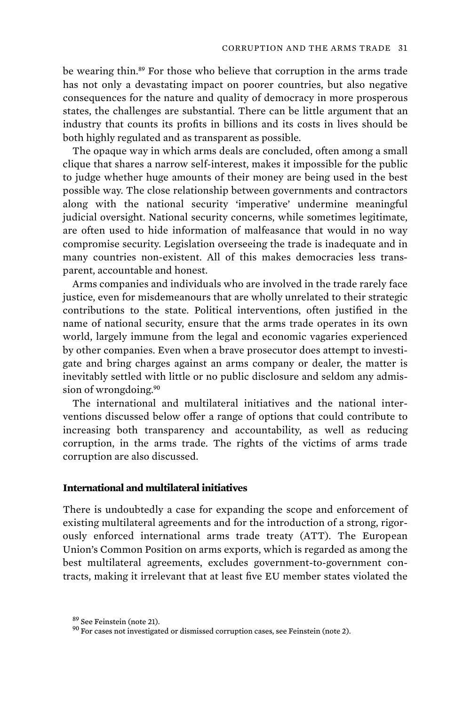be wearing thin.<sup>89</sup> For those who believe that corruption in the arms trade has not only a devastating impact on poorer countries, but also negative consequences for the nature and quality of democracy in more prosperous states, the challenges are substantial. There can be little argument that an industry that counts its profits in billions and its costs in lives should be both highly regulated and as transparent as possible.

The opaque way in which arms deals are concluded, often among a small clique that shares a narrow self-interest, makes it impossible for the public to judge whether huge amounts of their money are being used in the best possible way. The close relationship between governments and contractors along with the national security 'imperative' undermine meaningful judicial oversight. National security concerns, while sometimes legitimate, are often used to hide information of malfeasance that would in no way compromise security. Legislation overseeing the trade is inadequate and in many countries non-existent. All of this makes democracies less transparent, accountable and honest.

Arms companies and individuals who are involved in the trade rarely face justice, even for misdemeanours that are wholly unrelated to their strategic contributions to the state. Political interventions, often justified in the name of national security, ensure that the arms trade operates in its own world, largely immune from the legal and economic vagaries experienced by other companies. Even when a brave prosecutor does attempt to investigate and bring charges against an arms company or dealer, the matter is inevitably settled with little or no public disclosure and seldom any admission of wrongdoing.<sup>90</sup>

The international and multilateral initiatives and the national interventions discussed below offer a range of options that could contribute to increasing both transparency and accountability, as well as reducing corruption, in the arms trade. The rights of the victims of arms trade corruption are also discussed.

### **International and multilateral initiatives**

There is undoubtedly a case for expanding the scope and enforcement of existing multilateral agreements and for the introduction of a strong, rigorously enforced international arms trade treaty (ATT). The European Union's Common Position on arms exports, which is regarded as among the best multilateral agreements, excludes government-to-government contracts, making it irrelevant that at least five EU member states violated the

 $^{89}$  See Feinstein (note 21).  $^{90}$  For cases not investigated or dismissed corruption cases, see Feinstein (note 2).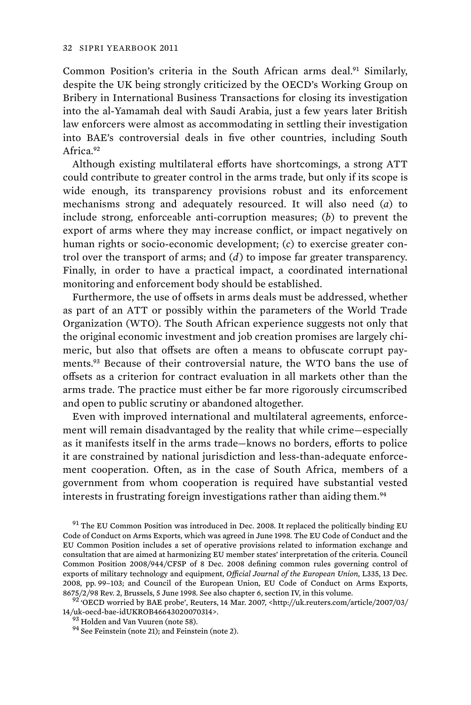Common Position's criteria in the South African arms deal.<sup>91</sup> Similarly, despite the UK being strongly criticized by the OECD's Working Group on Bribery in International Business Transactions for closing its investigation into the al-Yamamah deal with Saudi Arabia, just a few years later British law enforcers were almost as accommodating in settling their investigation into BAE's controversial deals in five other countries, including South Africa.<sup>92</sup>

Although existing multilateral efforts have shortcomings, a strong ATT could contribute to greater control in the arms trade, but only if its scope is wide enough, its transparency provisions robust and its enforcement mechanisms strong and adequately resourced. It will also need (*a*) to include strong, enforceable anti-corruption measures; (*b*) to prevent the export of arms where they may increase conflict, or impact negatively on human rights or socio-economic development; (*c*) to exercise greater control over the transport of arms; and (*d*) to impose far greater transparency. Finally, in order to have a practical impact, a coordinated international monitoring and enforcement body should be established.

Furthermore, the use of offsets in arms deals must be addressed, whether as part of an ATT or possibly within the parameters of the World Trade Organization (WTO). The South African experience suggests not only that the original economic investment and job creation promises are largely chimeric, but also that offsets are often a means to obfuscate corrupt payments.<sup>93</sup> Because of their controversial nature, the WTO bans the use of offsets as a criterion for contract evaluation in all markets other than the arms trade. The practice must either be far more rigorously circumscribed and open to public scrutiny or abandoned altogether.

Even with improved international and multilateral agreements, enforcement will remain disadvantaged by the reality that while crime—especially as it manifests itself in the arms trade—knows no borders, efforts to police it are constrained by national jurisdiction and less-than-adequate enforcement cooperation. Often, as in the case of South Africa, members of a government from whom cooperation is required have substantial vested interests in frustrating foreign investigations rather than aiding them.<sup>94</sup>

8675/2/98 Rev. 2, Brussels, 5 June 1998. See also chapter 6, section IV, in this volume.<br><sup>92</sup> 'OECD worried by BAE probe', Reuters, 14 Mar. 2007, <http://uk.reuters.com/article/2007/03/<br>14/uk-oecd-bae-idUKROB4664302007031

 $91$  The EU Common Position was introduced in Dec. 2008. It replaced the politically binding EU Code of Conduct on Arms Exports, which was agreed in June 1998. The EU Code of Conduct and the EU Common Position includes a set of operative provisions related to information exchange and consultation that are aimed at harmonizing EU member states' interpretation of the criteria. Council Common Position 2008/944/CFSP of 8 Dec. 2008 defining common rules governing control of exports of military technology and equipment, *Official Journal of the European Union*, L335, 13 Dec. 2008, pp. 99–103; and Council of the European Union, EU Code of Conduct on Arms Exports,

<sup>&</sup>lt;sup>93</sup> Holden and Van Vuuren (note 58). <sup>94</sup> See Feinstein (note 21); and Feinstein (note 2).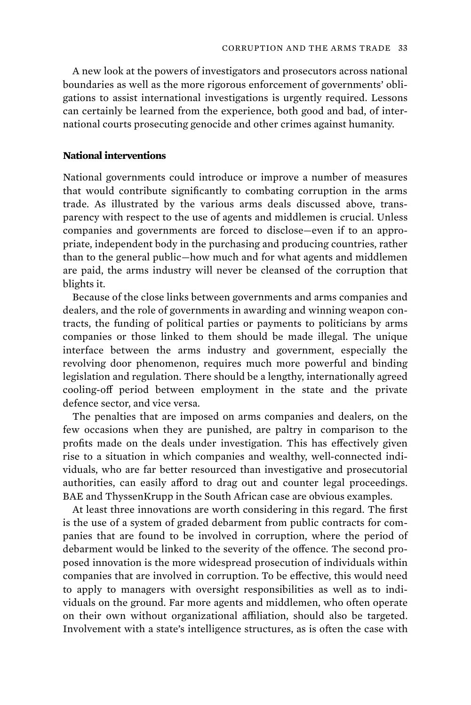A new look at the powers of investigators and prosecutors across national boundaries as well as the more rigorous enforcement of governments' obligations to assist international investigations is urgently required. Lessons can certainly be learned from the experience, both good and bad, of international courts prosecuting genocide and other crimes against humanity.

#### **National interventions**

National governments could introduce or improve a number of measures that would contribute significantly to combating corruption in the arms trade. As illustrated by the various arms deals discussed above, transparency with respect to the use of agents and middlemen is crucial. Unless companies and governments are forced to disclose—even if to an appropriate, independent body in the purchasing and producing countries, rather than to the general public—how much and for what agents and middlemen are paid, the arms industry will never be cleansed of the corruption that blights it.

Because of the close links between governments and arms companies and dealers, and the role of governments in awarding and winning weapon contracts, the funding of political parties or payments to politicians by arms companies or those linked to them should be made illegal. The unique interface between the arms industry and government, especially the revolving door phenomenon, requires much more powerful and binding legislation and regulation. There should be a lengthy, internationally agreed cooling-off period between employment in the state and the private defence sector, and vice versa.

The penalties that are imposed on arms companies and dealers, on the few occasions when they are punished, are paltry in comparison to the profits made on the deals under investigation. This has effectively given rise to a situation in which companies and wealthy, well-connected individuals, who are far better resourced than investigative and prosecutorial authorities, can easily afford to drag out and counter legal proceedings. BAE and ThyssenKrupp in the South African case are obvious examples.

At least three innovations are worth considering in this regard. The first is the use of a system of graded debarment from public contracts for companies that are found to be involved in corruption, where the period of debarment would be linked to the severity of the offence. The second proposed innovation is the more widespread prosecution of individuals within companies that are involved in corruption. To be effective, this would need to apply to managers with oversight responsibilities as well as to individuals on the ground. Far more agents and middlemen, who often operate on their own without organizational affiliation, should also be targeted. Involvement with a state's intelligence structures, as is often the case with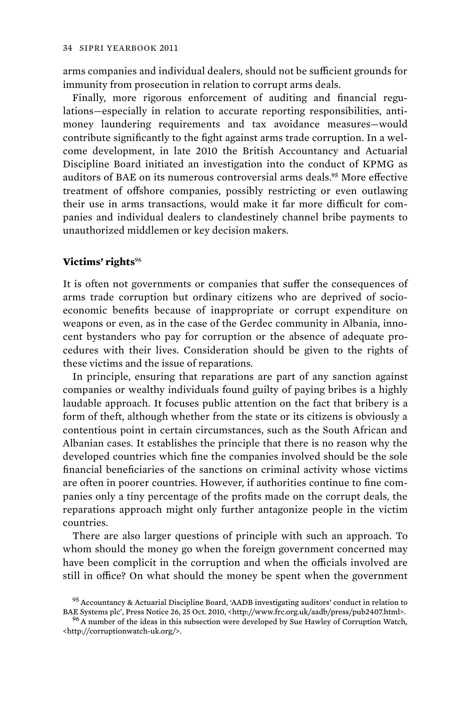arms companies and individual dealers, should not be sufficient grounds for immunity from prosecution in relation to corrupt arms deals.

Finally, more rigorous enforcement of auditing and financial regulations—especially in relation to accurate reporting responsibilities, antimoney laundering requirements and tax avoidance measures—would contribute significantly to the fight against arms trade corruption. In a welcome development, in late 2010 the British Accountancy and Actuarial Discipline Board initiated an investigation into the conduct of KPMG as auditors of BAE on its numerous controversial arms deals.<sup>95</sup> More effective treatment of offshore companies, possibly restricting or even outlawing their use in arms transactions, would make it far more difficult for companies and individual dealers to clandestinely channel bribe payments to unauthorized middlemen or key decision makers.

### **Victims' rights**<sup>96</sup>

It is often not governments or companies that suffer the consequences of arms trade corruption but ordinary citizens who are deprived of socioeconomic benefits because of inappropriate or corrupt expenditure on weapons or even, as in the case of the Gerdec community in Albania, innocent bystanders who pay for corruption or the absence of adequate procedures with their lives. Consideration should be given to the rights of these victims and the issue of reparations.

In principle, ensuring that reparations are part of any sanction against companies or wealthy individuals found guilty of paying bribes is a highly laudable approach. It focuses public attention on the fact that bribery is a form of theft, although whether from the state or its citizens is obviously a contentious point in certain circumstances, such as the South African and Albanian cases. It establishes the principle that there is no reason why the developed countries which fine the companies involved should be the sole financial beneficiaries of the sanctions on criminal activity whose victims are often in poorer countries. However, if authorities continue to fine companies only a tiny percentage of the profits made on the corrupt deals, the reparations approach might only further antagonize people in the victim countries.

There are also larger questions of principle with such an approach. To whom should the money go when the foreign government concerned may have been complicit in the corruption and when the officials involved are still in office? On what should the money be spent when the government

 $^{95}$  Accountancy & Actuarial Discipline Board, 'AADB investigating auditors' conduct in relation to BAE Systems plc', Press Notice 26, 25 Oct. 2010, <http://www.frc.org.uk/aadb/press/pub2407.html>. 96 A number of the ideas in this subsection were developed by Sue Hawley of Corruption Watch,

<sup>&</sup>lt;http://corruptionwatch-uk.org/>.